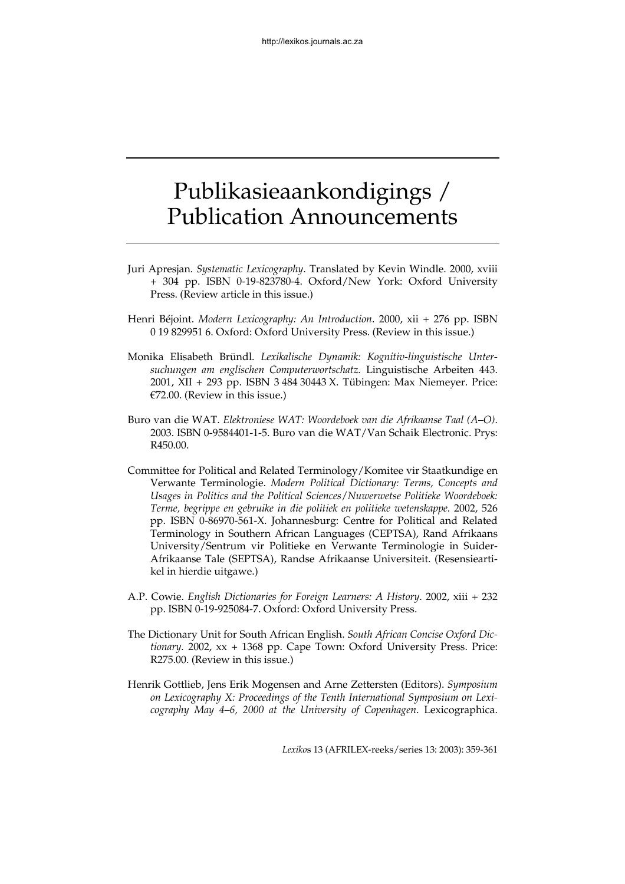## Publikasieaankondigings / Publication Announcements

- Juri Apresjan. *Systematic Lexicography*. Translated by Kevin Windle. 2000, xviii + 304 pp. ISBN 0-19-823780-4. Oxford/New York: Oxford University Press. (Review article in this issue.)
- Henri Béjoint. *Modern Lexicography: An Introduction*. 2000, xii + 276 pp. ISBN 0 19 829951 6. Oxford: Oxford University Press. (Review in this issue.)
- Monika Elisabeth Bründl. *Lexikalische Dynamik: Kognitiv-linguistische Untersuchungen am englischen Computerwortschatz.* Linguistische Arbeiten 443. 2001, XII + 293 pp. ISBN 3 484 30443 X. Tübingen: Max Niemeyer. Price: €72.00. (Review in this issue.)
- Buro van die WAT. *Elektroniese WAT: Woordeboek van die Afrikaanse Taal (A–O)*. 2003. ISBN 0-9584401-1-5. Buro van die WAT/Van Schaik Electronic. Prys: R450.00.
- Committee for Political and Related Terminology/Komitee vir Staatkundige en Verwante Terminologie. *Modern Political Dictionary: Terms, Concepts and Usages in Politics and the Political Sciences*/*Nuwerwetse Politieke Woordeboek: Terme, begrippe en gebruike in die politiek en politieke wetenskappe.* 2002, 526 pp. ISBN 0-86970-561-X. Johannesburg: Centre for Political and Related Terminology in Southern African Languages (CEPTSA), Rand Afrikaans University/Sentrum vir Politieke en Verwante Terminologie in Suider-Afrikaanse Tale (SEPTSA), Randse Afrikaanse Universiteit. (Resensieartikel in hierdie uitgawe.)
- A.P. Cowie. *English Dictionaries for Foreign Learners: A History*. 2002, xiii + 232 pp. ISBN 0-19-925084-7. Oxford: Oxford University Press.
- The Dictionary Unit for South African English. *South African Concise Oxford Dictionary.* 2002, xx + 1368 pp. Cape Town: Oxford University Press. Price: R275.00. (Review in this issue.)
- Henrik Gottlieb, Jens Erik Mogensen and Arne Zettersten (Editors). *Symposium on Lexicography X: Proceedings of the Tenth International Symposium on Lexicography May 4–6, 2000 at the University of Copenhagen*. Lexicographica.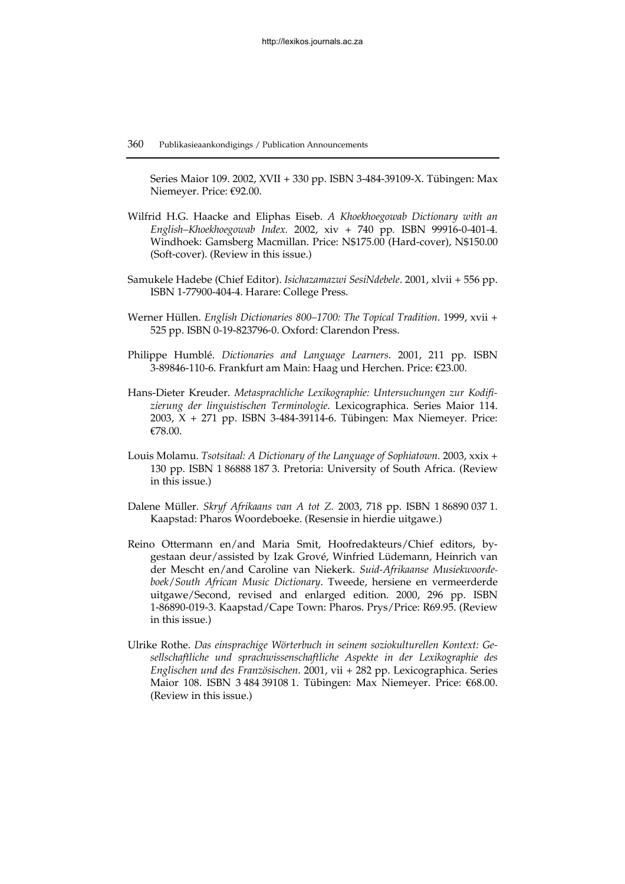Series Maior 109. 2002, XVII + 330 pp. ISBN 3-484-39109-X. Tübingen: Max Niemeyer. Price: €92.00.

- Wilfrid H.G. Haacke and Eliphas Eiseb. *A Khoekhoegowab Dictionary with an English–Khoekhoegowab Index.* 2002, xiv + 740 pp*.* ISBN 99916-0-401-4. Windhoek: Gamsberg Macmillan. Price: N\$175.00 (Hard-cover), N\$150.00 (Soft-cover). (Review in this issue.)
- Samukele Hadebe (Chief Editor). *Isichazamazwi SesiNdebele*. 2001, xlvii + 556 pp. ISBN 1-77900-404-4. Harare: College Press.
- Werner Hüllen. *English Dictionaries 800–1700: The Topical Tradition*. 1999, xvii + 525 pp. ISBN 0-19-823796-0. Oxford: Clarendon Press.
- Philippe Humblé. *Dictionaries and Language Learners*. 2001, 211 pp. ISBN 3-89846-110-6. Frankfurt am Main: Haag und Herchen. Price: €23.00.
- Hans-Dieter Kreuder. *Metasprachliche Lexikographie: Untersuchungen zur Kodifizierung der linguistischen Terminologie*. Lexicographica. Series Maior 114. 2003, X + 271 pp. ISBN 3-484-39114-6. Tübingen: Max Niemeyer. Price: €78.00.
- Louis Molamu. *Tsotsitaal: A Dictionary of the Language of Sophiatown.* 2003, xxix + 130 pp. ISBN 1 86888 187 3. Pretoria: University of South Africa. (Review in this issue.)
- Dalene Müller. *Skryf Afrikaans van A tot Z.* 2003, 718 pp. ISBN 1 86890 037 1. Kaapstad: Pharos Woordeboeke. (Resensie in hierdie uitgawe.)
- Reino Ottermann en/and Maria Smit, Hoofredakteurs/Chief editors, bygestaan deur/assisted by Izak Grové, Winfried Lüdemann, Heinrich van der Mescht en/and Caroline van Niekerk. *Suid-Afrikaanse Musiekwoordeboek*/*South African Music Dictionary*. Tweede, hersiene en vermeerderde uitgawe/Second, revised and enlarged edition. 2000, 296 pp. ISBN 1-86890-019-3. Kaapstad/Cape Town: Pharos. Prys/Price: R69.95. (Review in this issue.)
- Ulrike Rothe. *Das einsprachige Wörterbuch in seinem soziokulturellen Kontext: Gesellschaftliche und sprachwissenschaftliche Aspekte in der Lexikographie des Englischen und des Französischen*. 2001, vii + 282 pp. Lexicographica. Series Maior 108. ISBN 3 484 39108 1. Tübingen: Max Niemeyer. Price: €68.00. (Review in this issue.)